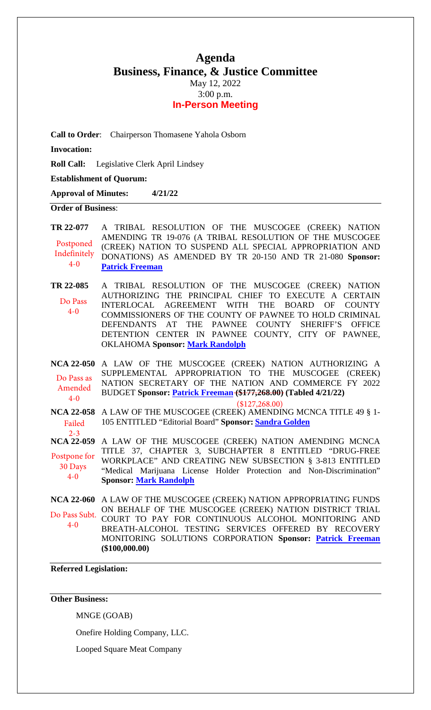## **Agenda Business, Finance, & Justice Committee** May 12, 2022 3:00 p.m.

## **In-Person Meeting**

**Call to Order**: Chairperson Thomasene Yahola Osborn

**Invocation:** 

**Roll Call:** Legislative Clerk April Lindsey

**Establishment of Quorum:** 

**Approval of Minutes: 4/21/22** 

**Order of Business**:

**[TR 22-077](bills/22-077.pdf)** A TRIBAL RESOLUTION OF THE MUSCOGEE (CREEK) NATION AMENDING TR 19-076 (A TRIBAL RESOLUTION OF THE MUSCOGEE (CREEK) NATION TO SUSPEND ALL SPECIAL APPROPRIATION AND DONATIONS) AS AMENDED BY TR 20-150 AND TR 21-080 **Sponsor: [Patrick Freeman](mailto:pfreeman@mcn-nsn.gov)** Postponed Indefinitely 4-0

**[TR 22-085](bills/22-085.pdf)** A TRIBAL RESOLUTION OF THE MUSCOGEE (CREEK) NATION AUTHORIZING THE PRINCIPAL CHIEF TO EXECUTE A CERTAIN INTERLOCAL AGREEMENT WITH THE BOARD OF COUNTY COMMISSIONERS OF THE COUNTY OF PAWNEE TO HOLD CRIMINAL DEFENDANTS AT THE PAWNEE COUNTY SHERIFF'S OFFICE DETENTION CENTER IN PAWNEE COUNTY, CITY OF PAWNEE, OKLAHOMA **Sponsor: [Mark Randolph](mailto:mrandolph@mcn-nsn.gov)** Do Pass 4-0

**[NCA 22-050](bills/NCA22-050.pdf)** A LAW OF THE MUSCOGEE (CREEK) NATION AUTHORIZING A SUPPLEMENTAL APPROPRIATION TO THE MUSCOGEE (CREEK) NATION SECRETARY OF THE NATION AND COMMERCE FY 2022 BUDGET **Sponsor: <u>Patrick Freeman</u> (\$177,268.00)</del> (Tabled 4/21/22) [NCA 22-058](bills/NCA22-058.pdf)** A LAW OF THE MUSCOGEE (CREEK) AMENDING MCNCA TITLE 49 § 1- 105 ENTITLED "Editorial Board" **Sponsor: [Sandra Golden](mailto:sgolden@mcn-nsn.gov) [NCA 22-059](bills/NCA22-059.pdf)** A LAW OF THE MUSCOGEE (CREEK) NATION AMENDING MCNCA TITLE 37, CHAPTER 3, SUBCHAPTER 8 ENTITLED "DRUG-FREE WORKPLACE" AND CREATING NEW SUBSECTION § 3-813 ENTITLED "Medical Marijuana License Holder Protection and Non-Discrimination" **Sponsor: [Mark Randolph](mailto:mrandolph@mcn-nsn.gov) [NCA 22-060](bills/NCA22-060.pdf)** A LAW OF THE MUSCOGEE (CREEK) NATION APPROPRIATING FUNDS Do Pass as Amended 4-0 (\$127,268.00) Failed 2-3 Postpone for 30 Days 4-0

ON BEHALF OF THE MUSCOGEE (CREEK) NATION DISTRICT TRIAL COURT TO PAY FOR CONTINUOUS ALCOHOL MONITORING AND BREATH-ALCOHOL TESTING SERVICES OFFERED BY RECOVERY MONITORING SOLUTIONS CORPORATION **Sponsor: [Patrick Freeman](mailto:pfreeman@mcn-nsn.gov) (\$100,000.00)**  Do Pass Subt.  $4-0$ 

## **Referred Legislation:**

## **Other Business:**

MNGE (GOAB)

Onefire Holding Company, LLC.

Looped Square Meat Company